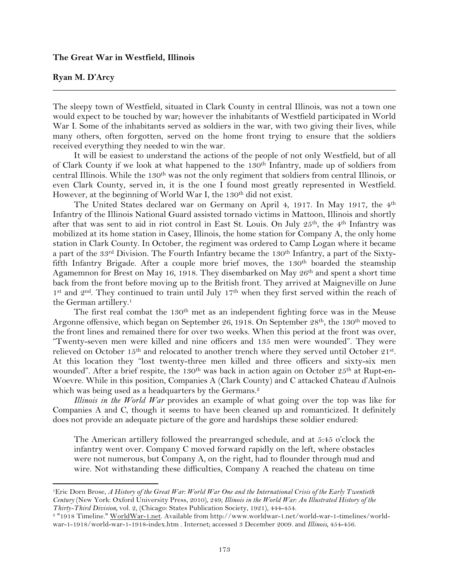## **The Great War in Westfield, Illinois**

!!!!!!!!!!!!!!!!!!!!!!!!!!!!!!!!!!!!!!!!!!!!!!!!!!!!!!!!!!!!

## **Ryan M. D'Arcy**

The sleepy town of Westfield, situated in Clark County in central Illinois, was not a town one would expect to be touched by war; however the inhabitants of Westfield participated in World War I. Some of the inhabitants served as soldiers in the war, with two giving their lives, while many others, often forgotten, served on the home front trying to ensure that the soldiers received everything they needed to win the war.

**\_\_\_\_\_\_\_\_\_\_\_\_\_\_\_\_\_\_\_\_\_\_\_\_\_\_\_\_\_\_\_\_\_\_\_\_\_\_\_\_\_\_\_\_\_\_\_\_\_\_\_\_\_\_\_\_\_\_\_\_\_\_\_\_\_\_\_\_\_\_\_\_\_\_\_\_\_\_**

It will be easiest to understand the actions of the people of not only Westfield, but of all of Clark County if we look at what happened to the 130<sup>th</sup> Infantry, made up of soldiers from central Illinois. While the 130<sup>th</sup> was not the only regiment that soldiers from central Illinois, or even Clark County, served in, it is the one I found most greatly represented in Westfield. However, at the beginning of World War I, the 130<sup>th</sup> did not exist.

The United States declared war on Germany on April 4, 1917. In May 1917, the 4<sup>th</sup> Infantry of the Illinois National Guard assisted tornado victims in Mattoon, Illinois and shortly after that was sent to aid in riot control in East St. Louis. On July 25<sup>th</sup>, the 4<sup>th</sup> Infantry was mobilized at its home station in Casey, Illinois, the home station for Company A, the only home station in Clark County. In October, the regiment was ordered to Camp Logan where it became a part of the 33rd Division. The Fourth Infantry became the 130<sup>th</sup> Infantry, a part of the Sixtyfifth Infantry Brigade. After a couple more brief moves, the 130<sup>th</sup> boarded the steamship Agamemnon for Brest on May 16, 1918. They disembarked on May  $26<sup>th</sup>$  and spent a short time back from the front before moving up to the British front. They arrived at Maigneville on June 1<sup>st</sup> and 2<sup>nd</sup>. They continued to train until July 17<sup>th</sup> when they first served within the reach of the German artillery.<sup>1</sup>

The first real combat the  $130<sup>th</sup>$  met as an independent fighting force was in the Meuse Argonne offensive, which began on September 26, 1918. On September 28th, the 130th moved to the front lines and remained there for over two weeks. When this period at the front was over, "Twenty-seven men were killed and nine officers and 135 men were wounded". They were relieved on October 15<sup>th</sup> and relocated to another trench where they served until October 21<sup>st</sup>. At this location they "lost twenty-three men killed and three officers and sixty-six men wounded". After a brief respite, the 130<sup>th</sup> was back in action again on October  $25<sup>th</sup>$  at Rupt-en-Woevre. While in this position, Companies A (Clark County) and C attacked Chateau d'Aulnois which was being used as a headquarters by the Germans.<sup>2</sup>

*Illinois in the World War* provides an example of what going over the top was like for Companies A and C, though it seems to have been cleaned up and romanticized. It definitely does not provide an adequate picture of the gore and hardships these soldier endured:

The American artillery followed the prearranged schedule, and at 5:45 o'clock the infantry went over. Company C moved forward rapidly on the left, where obstacles were not numerous, but Company A, on the right, had to flounder through mud and wire. Not withstanding these difficulties, Company A reached the chateau on time

<sup>1</sup>Eric Dorn Brose, *A History of the Great War: World War One and the International Crisis of the Early Twentieth Century* (New York: Oxford University Press, 2010), 249; *Illinois in the World War: An Illustrated History of the Thirty-Third Division,* vol. 2, (Chicago: States Publication Society, 1921), 444-454.

<sup>2</sup> "1918 Timeline." WorldWar-1.net. Available from http://www.worldwar-1.net/world-war-1-timelines/worldwar-1-1918/world-war-1-1918-index.htm . Internet; accessed 3 December 2009. and *Illinois,* 454-456.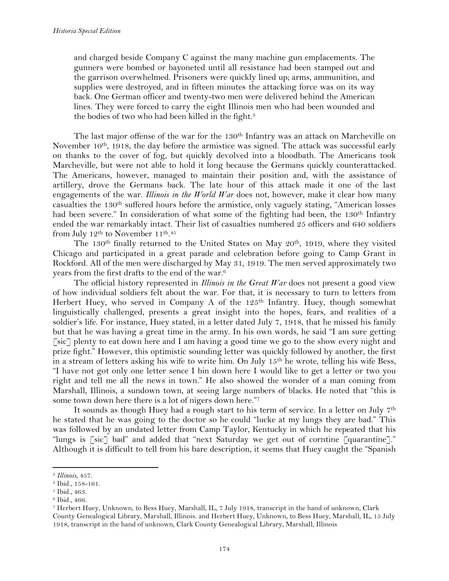and charged beside Company C against the many machine gun emplacements. The gunners were bombed or bayoneted until all resistance had been stamped out and the garrison overwhelmed. Prisoners were quickly lined up; arms, ammunition, and supplies were destroyed, and in fifteen minutes the attacking force was on its way back. One German officer and twenty-two men were delivered behind the American lines. They were forced to carry the eight Illinois men who had been wounded and the bodies of two who had been killed in the fight.<sup>3</sup>

The last major offense of the war for the 130<sup>th</sup> Infantry was an attack on Marcheville on November  $10^{th}$ , 1918, the day before the armistice was signed. The attack was successful early on thanks to the cover of fog, but quickly devolved into a bloodbath. The Americans took Marcheville, but were not able to hold it long because the Germans quickly counterattacked. The Americans, however, managed to maintain their position and, with the assistance of artillery, drove the Germans back. The late hour of this attack made it one of the last engagements of the war. *Illinois in the World War* does not, however, make it clear how many casualties the 130th suffered hours before the armistice, only vaguely stating, "American losses had been severe." In consideration of what some of the fighting had been, the 130<sup>th</sup> Infantry ended the war remarkably intact. Their list of casualties numbered 25 officers and 640 soldiers from July 12<sup>th</sup> to November 11<sup>th</sup>.<sup>45</sup>

The 130<sup>th</sup> finally returned to the United States on May 20<sup>th</sup>, 1919, where they visited Chicago and participated in a great parade and celebration before going to Camp Grant in Rockford. All of the men were discharged by May 31, 1919. The men served approximately two years from the first drafts to the end of the war.6

The official history represented in *Illinois in the Great War* does not present a good view of how individual soldiers felt about the war. For that, it is necessary to turn to letters from Herbert Huey, who served in Company A of the 125<sup>th</sup> Infantry. Huey, though somewhat linguistically challenged, presents a great insight into the hopes, fears, and realities of a soldier's life. For instance, Huey stated, in a letter dated July 7, 1918, that he missed his family but that he was having a great time in the army. In his own words, he said "I am sure getting [sic] plenty to eat down here and I am having a good time we go to the show every night and prize fight." However, this optimistic sounding letter was quickly followed by another, the first in a stream of letters asking his wife to write him. On July 15<sup>th</sup> he wrote, telling his wife Bess, "I have not got only one letter sence I bin down here I would like to get a letter or two you right and tell me all the news in town." He also showed the wonder of a man coming from Marshall, Illinois, a sundown town, at seeing large numbers of blacks. He noted that "this is some town down here there is a lot of nigers down here."7

It sounds as though Huey had a rough start to his term of service. In a letter on July 7th he stated that he was going to the doctor so he could "lucke at my lungs they are bad." This was followed by an undated letter from Camp Taylor, Kentucky in which he repeated that his "lungs is [sic] bad" and added that "next Saturday we get out of corntine [quarantine]." Although it is difficult to tell from his bare description, it seems that Huey caught the "Spanish

<sup>3</sup> *Illinois*, 457.

<sup>4</sup> Ibid., 158-161.

<sup>5</sup> Ibid., 463.

<sup>6</sup> Ibid., 466.

<sup>7</sup> Herbert Huey, Unknown, to Bess Huey, Marshall, IL, 7 July 1918, transcript in the hand of unknown, Clark County Genealogical Library, Marshall, Illinois. and Herbert Huey, Unknown, to Bess Huey, Marshall, IL, 15 July 1918, transcript in the hand of unknown, Clark County Genealogical Library, Marshall, Illinois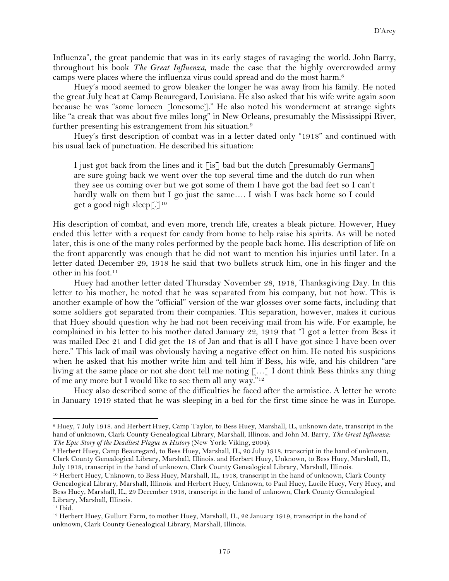Influenza", the great pandemic that was in its early stages of ravaging the world. John Barry, throughout his book *The Great Influenza*, made the case that the highly overcrowded army camps were places where the influenza virus could spread and do the most harm.8

Huey's mood seemed to grow bleaker the longer he was away from his family. He noted the great July heat at Camp Beauregard, Louisiana. He also asked that his wife write again soon because he was "some lomcen [lonesome]." He also noted his wonderment at strange sights like "a creak that was about five miles long" in New Orleans, presumably the Mississippi River, further presenting his estrangement from his situation.<sup>9</sup>

Huey's first description of combat was in a letter dated only "1918" and continued with his usual lack of punctuation. He described his situation:

I just got back from the lines and it  $\lceil i \rceil$  bad but the dutch  $\lceil$  presumably Germans $\lceil$ are sure going back we went over the top several time and the dutch do run when they see us coming over but we got some of them I have got the bad feet so I can't hardly walk on them but I go just the same.... I wish I was back home so I could get a good nigh sleep[ $\lceil \cdot \rceil^{10}$ 

His description of combat, and even more, trench life, creates a bleak picture. However, Huey ended this letter with a request for candy from home to help raise his spirits. As will be noted later, this is one of the many roles performed by the people back home. His description of life on the front apparently was enough that he did not want to mention his injuries until later. In a letter dated December 29, 1918 he said that two bullets struck him, one in his finger and the other in his foot.11

Huey had another letter dated Thursday November 28, 1918, Thanksgiving Day. In this letter to his mother, he noted that he was separated from his company, but not how. This is another example of how the "official" version of the war glosses over some facts, including that some soldiers got separated from their companies. This separation, however, makes it curious that Huey should question why he had not been receiving mail from his wife. For example, he complained in his letter to his mother dated January 22, 1919 that "I got a letter from Bess it was mailed Dec 21 and I did get the 18 of Jan and that is all I have got since I have been over here." This lack of mail was obviously having a negative effect on him. He noted his suspicions when he asked that his mother write him and tell him if Bess, his wife, and his children "are living at the same place or not she dont tell me noting […] I dont think Bess thinks any thing of me any more but I would like to see them all any way."12

Huey also described some of the difficulties he faced after the armistice. A letter he wrote in January 1919 stated that he was sleeping in a bed for the first time since he was in Europe.

<sup>9</sup> Herbert Huey, Camp Beauregard, to Bess Huey, Marshall, IL, 20 July 1918, transcript in the hand of unknown, Clark County Genealogical Library, Marshall, Illinois. and Herbert Huey, Unknown, to Bess Huey, Marshall, IL, July 1918, transcript in the hand of unknown, Clark County Genealogical Library, Marshall, Illinois.

<sup>8</sup> Huey, 7 July 1918. and Herbert Huey, Camp Taylor, to Bess Huey, Marshall, IL, unknown date, transcript in the hand of unknown, Clark County Genealogical Library, Marshall, Illinois. and John M. Barry, *The Great Influenza: The Epic Story of the Deadliest Plague in History* (New York: Viking, 2004).

<sup>10</sup> Herbert Huey, Unknown, to Bess Huey, Marshall, IL, 1918, transcript in the hand of unknown, Clark County Genealogical Library, Marshall, Illinois. and Herbert Huey, Unknown, to Paul Huey, Lucile Huey, Very Huey, and Bess Huey, Marshall, IL, 29 December 1918, transcript in the hand of unknown, Clark County Genealogical Library, Marshall, Illinois.

<sup>11</sup> Ibid.

<sup>12</sup> Herbert Huey, Gullurt Farm, to mother Huey, Marshall, IL, 22 January 1919, transcript in the hand of unknown, Clark County Genealogical Library, Marshall, Illinois.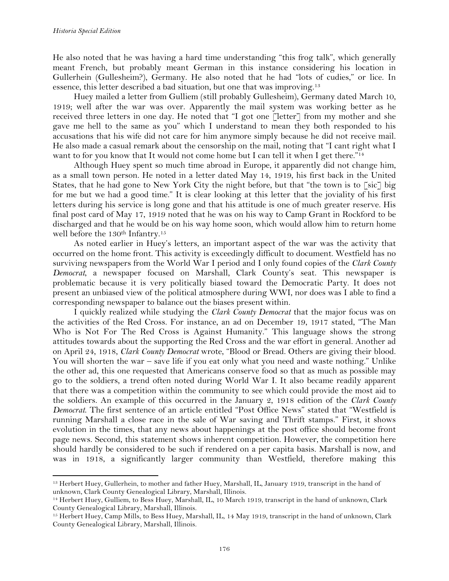!!!!!!!!!!!!!!!!!!!!!!!!!!!!!!!!!!!!!!!!!!!!!!!!!!!!!!!!!!!!

He also noted that he was having a hard time understanding "this frog talk", which generally meant French, but probably meant German in this instance considering his location in Gullerhein (Gullesheim?), Germany. He also noted that he had "lots of cudies," or lice. In essence, this letter described a bad situation, but one that was improving.<sup>13</sup>

Huey mailed a letter from Gulliem (still probably Gullesheim), Germany dated March 10, 1919; well after the war was over. Apparently the mail system was working better as he received three letters in one day. He noted that "I got one [letter] from my mother and she gave me hell to the same as you" which I understand to mean they both responded to his accusations that his wife did not care for him anymore simply because he did not receive mail. He also made a casual remark about the censorship on the mail, noting that "I cant right what I want to for you know that It would not come home but I can tell it when I get there."<sup>14</sup>

Although Huey spent so much time abroad in Europe, it apparently did not change him, as a small town person. He noted in a letter dated May 14, 1919, his first back in the United States, that he had gone to New York City the night before, but that "the town is to [sic] big for me but we had a good time." It is clear looking at this letter that the joviality of his first letters during his service is long gone and that his attitude is one of much greater reserve. His final post card of May 17, 1919 noted that he was on his way to Camp Grant in Rockford to be discharged and that he would be on his way home soon, which would allow him to return home well before the 130<sup>th</sup> Infantry.<sup>15</sup>

As noted earlier in Huey's letters, an important aspect of the war was the activity that occurred on the home front. This activity is exceedingly difficult to document. Westfield has no surviving newspapers from the World War I period and I only found copies of the *Clark County Democrat*, a newspaper focused on Marshall, Clark County's seat. This newspaper is problematic because it is very politically biased toward the Democratic Party. It does not present an unbiased view of the political atmosphere during WWI, nor does was I able to find a corresponding newspaper to balance out the biases present within.

I quickly realized while studying the *Clark County Democrat* that the major focus was on the activities of the Red Cross. For instance, an ad on December 19, 1917 stated, "The Man Who is Not For The Red Cross is Against Humanity." This language shows the strong attitudes towards about the supporting the Red Cross and the war effort in general. Another ad on April 24, 1918, *Clark County Democrat* wrote, "Blood or Bread. Others are giving their blood. You will shorten the war – save life if you eat only what you need and waste nothing." Unlike the other ad, this one requested that Americans conserve food so that as much as possible may go to the soldiers, a trend often noted during World War I. It also became readily apparent that there was a competition within the community to see which could provide the most aid to the soldiers. An example of this occurred in the January 2, 1918 edition of the *Clark County Democrat*. The first sentence of an article entitled "Post Office News" stated that "Westfield is running Marshall a close race in the sale of War saving and Thrift stamps." First, it shows evolution in the times, that any news about happenings at the post office should become front page news. Second, this statement shows inherent competition. However, the competition here should hardly be considered to be such if rendered on a per capita basis. Marshall is now, and was in 1918, a significantly larger community than Westfield, therefore making this

<sup>13</sup> Herbert Huey, Gullerhein, to mother and father Huey, Marshall, IL, January 1919, transcript in the hand of unknown, Clark County Genealogical Library, Marshall, Illinois.

<sup>14</sup> Herbert Huey, Gulliem, to Bess Huey, Marshall, IL, 10 March 1919, transcript in the hand of unknown, Clark County Genealogical Library, Marshall, Illinois.

<sup>15</sup> Herbert Huey, Camp Mills, to Bess Huey, Marshall, IL, 14 May 1919, transcript in the hand of unknown, Clark County Genealogical Library, Marshall, Illinois.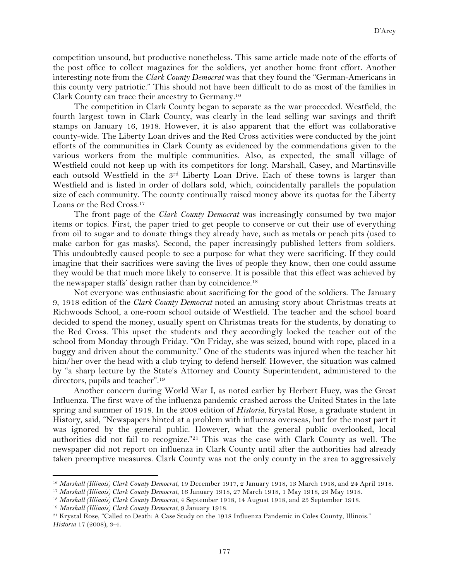competition unsound, but productive nonetheless. This same article made note of the efforts of the post office to collect magazines for the soldiers, yet another home front effort. Another interesting note from the *Clark County Democrat* was that they found the "German-Americans in this county very patriotic." This should not have been difficult to do as most of the families in Clark County can trace their ancestry to Germany.16

The competition in Clark County began to separate as the war proceeded. Westfield, the fourth largest town in Clark County, was clearly in the lead selling war savings and thrift stamps on January 16, 1918. However, it is also apparent that the effort was collaborative county-wide. The Liberty Loan drives and the Red Cross activities were conducted by the joint efforts of the communities in Clark County as evidenced by the commendations given to the various workers from the multiple communities. Also, as expected, the small village of Westfield could not keep up with its competitors for long. Marshall, Casey, and Martinsville each outsold Westfield in the 3rd Liberty Loan Drive. Each of these towns is larger than Westfield and is listed in order of dollars sold, which, coincidentally parallels the population size of each community. The county continually raised money above its quotas for the Liberty Loans or the Red Cross.17

The front page of the *Clark County Democrat* was increasingly consumed by two major items or topics. First, the paper tried to get people to conserve or cut their use of everything from oil to sugar and to donate things they already have, such as metals or peach pits (used to make carbon for gas masks). Second, the paper increasingly published letters from soldiers. This undoubtedly caused people to see a purpose for what they were sacrificing. If they could imagine that their sacrifices were saving the lives of people they know, then one could assume they would be that much more likely to conserve. It is possible that this effect was achieved by the newspaper staffs' design rather than by coincidence.18

Not everyone was enthusiastic about sacrificing for the good of the soldiers. The January 9, 1918 edition of the *Clark County Democrat* noted an amusing story about Christmas treats at Richwoods School, a one-room school outside of Westfield. The teacher and the school board decided to spend the money, usually spent on Christmas treats for the students, by donating to the Red Cross. This upset the students and they accordingly locked the teacher out of the school from Monday through Friday. "On Friday, she was seized, bound with rope, placed in a buggy and driven about the community." One of the students was injured when the teacher hit him/her over the head with a club trying to defend herself. However, the situation was calmed by "a sharp lecture by the State's Attorney and County Superintendent, administered to the directors, pupils and teacher".19

Another concern during World War I, as noted earlier by Herbert Huey, was the Great Influenza. The first wave of the influenza pandemic crashed across the United States in the late spring and summer of 1918. In the 2008 edition of *Historia*, Krystal Rose, a graduate student in History, said, "Newspapers hinted at a problem with influenza overseas, but for the most part it was ignored by the general public. However, what the general public overlooked, local authorities did not fail to recognize."21 This was the case with Clark County as well. The newspaper did not report on influenza in Clark County until after the authorities had already taken preemptive measures. Clark County was not the only county in the area to aggressively

<sup>19</sup> *Marshall (Illinois) Clark County Democrat*, 9 January 1918.

<sup>16</sup> *Marshall (Illinois) Clark County Democrat*, 19 December 1917, 2 January 1918, 13 March 1918, and 24 April 1918.

<sup>17</sup> *Marshall (Illinois) Clark County Democrat*, 16 January 1918, 27 March 1918, 1 May 1918, 29 May 1918.

<sup>18</sup> *Marshall (Illinois) Clark County Democrat*, 4 September 1918, 14 August 1918, and 25 September 1918.

<sup>21</sup> Krystal Rose, "Called to Death: A Case Study on the 1918 Influenza Pandemic in Coles County, Illinois." *Historia* 17 (2008), 3-4.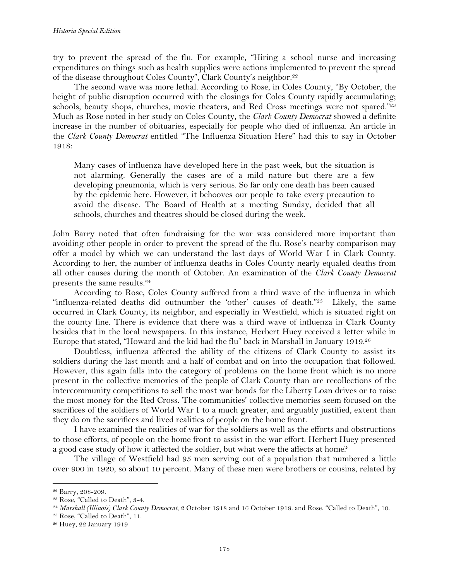try to prevent the spread of the flu. For example, "Hiring a school nurse and increasing expenditures on things such as health supplies were actions implemented to prevent the spread of the disease throughout Coles County", Clark County's neighbor.<sup>22</sup>

The second wave was more lethal. According to Rose, in Coles County, "By October, the height of public disruption occurred with the closings for Coles County rapidly accumulating; schools, beauty shops, churches, movie theaters, and Red Cross meetings were not spared."23 Much as Rose noted in her study on Coles County, the *Clark County Democrat* showed a definite increase in the number of obituaries, especially for people who died of influenza. An article in the *Clark County Democrat* entitled "The Influenza Situation Here" had this to say in October 1918:

Many cases of influenza have developed here in the past week, but the situation is not alarming. Generally the cases are of a mild nature but there are a few developing pneumonia, which is very serious. So far only one death has been caused by the epidemic here. However, it behooves our people to take every precaution to avoid the disease. The Board of Health at a meeting Sunday, decided that all schools, churches and theatres should be closed during the week.

John Barry noted that often fundraising for the war was considered more important than avoiding other people in order to prevent the spread of the flu. Rose's nearby comparison may offer a model by which we can understand the last days of World War I in Clark County. According to her, the number of influenza deaths in Coles County nearly equaled deaths from all other causes during the month of October. An examination of the *Clark County Democrat*  presents the same results.24

According to Rose, Coles County suffered from a third wave of the influenza in which "influenza-related deaths did outnumber the 'other' causes of death."<sup>25</sup> Likely, the same occurred in Clark County, its neighbor, and especially in Westfield, which is situated right on the county line. There is evidence that there was a third wave of influenza in Clark County besides that in the local newspapers. In this instance, Herbert Huey received a letter while in Europe that stated, "Howard and the kid had the flu" back in Marshall in January 1919.26

Doubtless, influenza affected the ability of the citizens of Clark County to assist its soldiers during the last month and a half of combat and on into the occupation that followed. However, this again falls into the category of problems on the home front which is no more present in the collective memories of the people of Clark County than are recollections of the intercommunity competitions to sell the most war bonds for the Liberty Loan drives or to raise the most money for the Red Cross. The communities' collective memories seem focused on the sacrifices of the soldiers of World War I to a much greater, and arguably justified, extent than they do on the sacrifices and lived realities of people on the home front.

I have examined the realities of war for the soldiers as well as the efforts and obstructions to those efforts, of people on the home front to assist in the war effort. Herbert Huey presented a good case study of how it affected the soldier, but what were the affects at home?

The village of Westfield had 95 men serving out of a population that numbered a little over 900 in 1920, so about 10 percent. Many of these men were brothers or cousins, related by

<sup>22</sup> Barry, 208-209.

<sup>23</sup> Rose, "Called to Death", 3-4.

<sup>24</sup> *Marshall (Illinois) Clark County Democrat*, 2 October 1918 and 16 October 1918. and Rose, "Called to Death", 10.

<sup>25</sup> Rose, "Called to Death", 11.

<sup>26</sup> Huey, 22 January 1919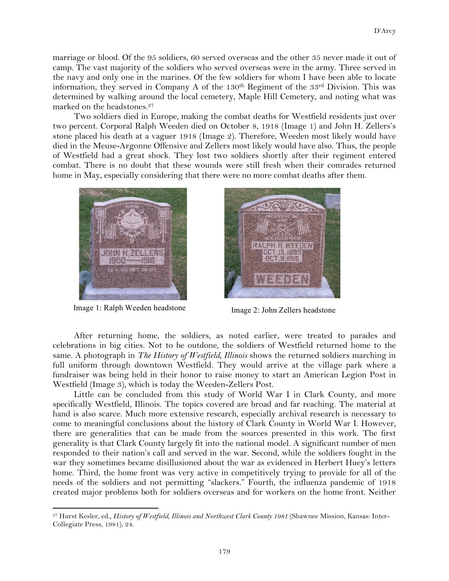marriage or blood. Of the 95 soldiers, 60 served overseas and the other 35 never made it out of camp. The vast majority of the soldiers who served overseas were in the army. Three served in the navy and only one in the marines. Of the few soldiers for whom I have been able to locate information, they served in Company A of the 130<sup>th</sup> Regiment of the 33<sup>rd</sup> Division. This was determined by walking around the local cemetery, Maple Hill Cemetery, and noting what was marked on the headstones.<sup>27</sup>

Two soldiers died in Europe, making the combat deaths for Westfield residents just over two percent. Corporal Ralph Weeden died on October 8, 1918 (Image 1) and John H. Zellers's stone placed his death at a vaguer 1918 (Image 2). Therefore, Weeden most likely would have died in the Meuse-Argonne Offensive and Zellers most likely would have also. Thus, the people of Westfield had a great shock. They lost two soldiers shortly after their regiment entered combat. There is no doubt that these wounds were still fresh when their comrades returned home in May, especially considering that there were no more combat deaths after them.



Image 1: Ralph Weeden headstone Image 2: John Zellers headstone

!!!!!!!!!!!!!!!!!!!!!!!!!!!!!!!!!!!!!!!!!!!!!!!!!!!!!!!!!!!!

纳作

After returning home, the soldiers, as noted earlier, were treated to parades and celebrations in big cities. Not to be outdone, the soldiers of Westfield returned home to the same. A photograph in *The History of Westfield, Illinois* shows the returned soldiers marching in full uniform through downtown Westfield. They would arrive at the village park where a fundraiser was being held in their honor to raise money to start an American Legion Post in Westfield (Image 3), which is today the Weeden-Zellers Post.

Little can be concluded from this study of World War I in Clark County, and more specifically Westfield, Illinois. The topics covered are broad and far reaching. The material at hand is also scarce. Much more extensive research, especially archival research is necessary to come to meaningful conclusions about the history of Clark County in World War I. However, there are generalities that can be made from the sources presented in this work. The first generality is that Clark County largely fit into the national model. A significant number of men responded to their nation's call and served in the war. Second, while the soldiers fought in the war they sometimes became disillusioned about the war as evidenced in Herbert Huey's letters home. Third, the home front was very active in competitively trying to provide for all of the needs of the soldiers and not permitting "slackers." Fourth, the influenza pandemic of 1918 created major problems both for soldiers overseas and for workers on the home front. Neither

<sup>27</sup> Hurst Kesler, ed., *History of Westfield, Illinois and Northwest Clark County 1981* (Shawnee Mission, Kansas: Inter-Collegiate Press, 1981), 24.